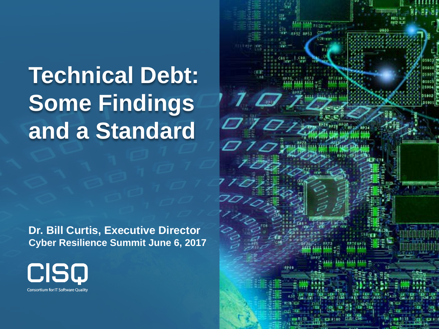# **Technical Debt: Some Findings and a Standard**

**Dr. Bill Curtis, Executive Director Cyber Resilience Summit June 6, 2017**



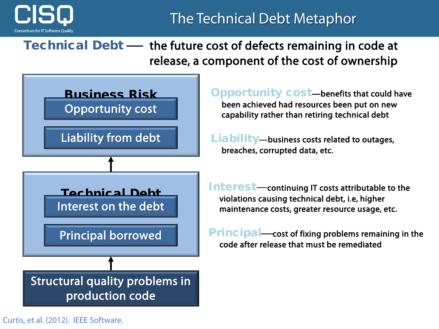

#### The Technical Debt Metaphor

Technical Debt - the future cost of defects remaining in code at release, a component of the cost of ownership



Curtis, et al. (2012). IEEE Software.

Opportunity cost—benefits that could have been achieved had resources been put on new capability rather than retiring technical debt

Liability—business costs related to outages, breaches, corrupted data, etc.

Interest—continuing IT costs attributable to the violations causing technical debt, i.e, higher maintenance costs, greater resource usage, etc.

 $Principal—cost of fixing problems remaining in the$ code after release that must be remediated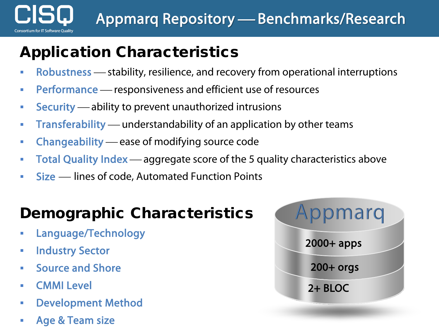

#### Application Characteristics

- Robustness stability, resilience, and recovery from operational interruptions
- **Performance** responsiveness and efficient use of resources
- **Security** ability to prevent unauthorized intrusions
- **Transferability** understandability of an application by other teams
- Changeability ease of modifying source code
- Total Quality Index aggregate score of the 5 quality characteristics above
- Size lines of code, Automated Function Points

#### Demographic Characteristics

- Language/Technology
- **Endustry Sector**
- **Source and Shore**
- CMMI Level
- Development Method
- Age & Team size

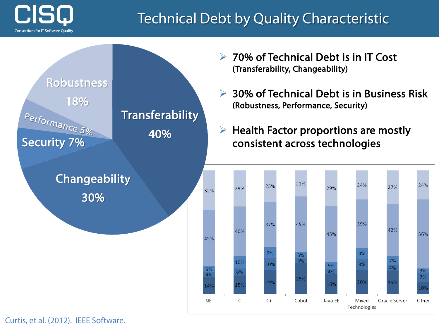

#### Technical Debt by Quality Characteristic



**► 70% of Technical Debt is in IT Cost** (Transferability, Changeability)

**► 30% of Technical Debt is in Business Risk** (Robustness, Performance, Security)

 $\triangleright$  Health Factor proportions are mostly consistent across technologies



Curtis, et al. (2012). IEEE Software.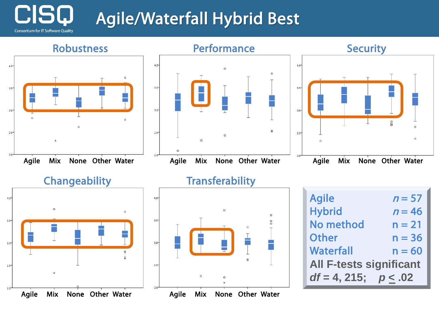## Agile/Waterfall Hybrid Best

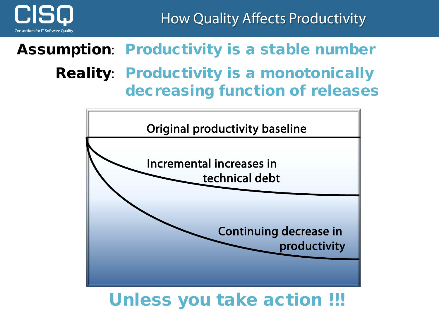

How Quality Affects Productivity

## Assumption: Productivity is a stable number

#### Reality: Productivity is a monotonically decreasing function of releases



#### Unless you take action !!!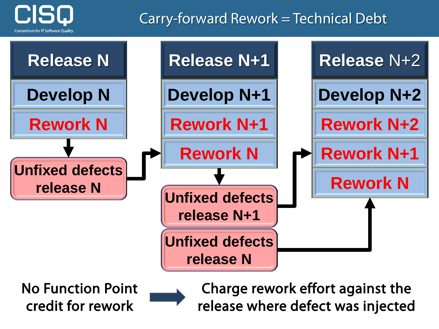

#### Carry-forward Rework = Technical Debt



No Function Point credit for rework

Charge rework effort against the release where defect was injected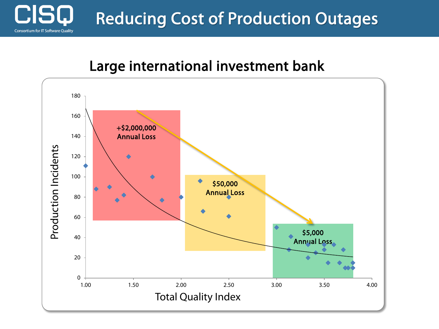

#### Large international investment bank

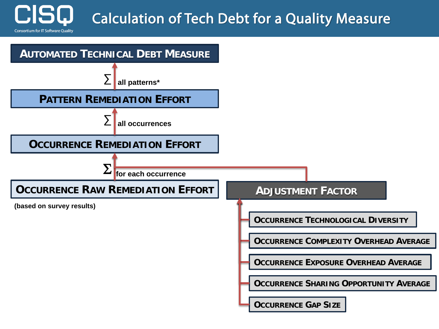### Calculation of Tech Debt for a Quality Measure

**Consortium for IT Software Quality** 

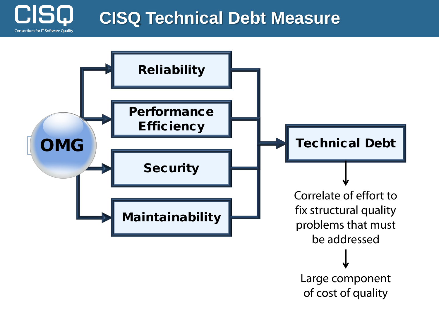

### **CISQ Technical Debt Measure**